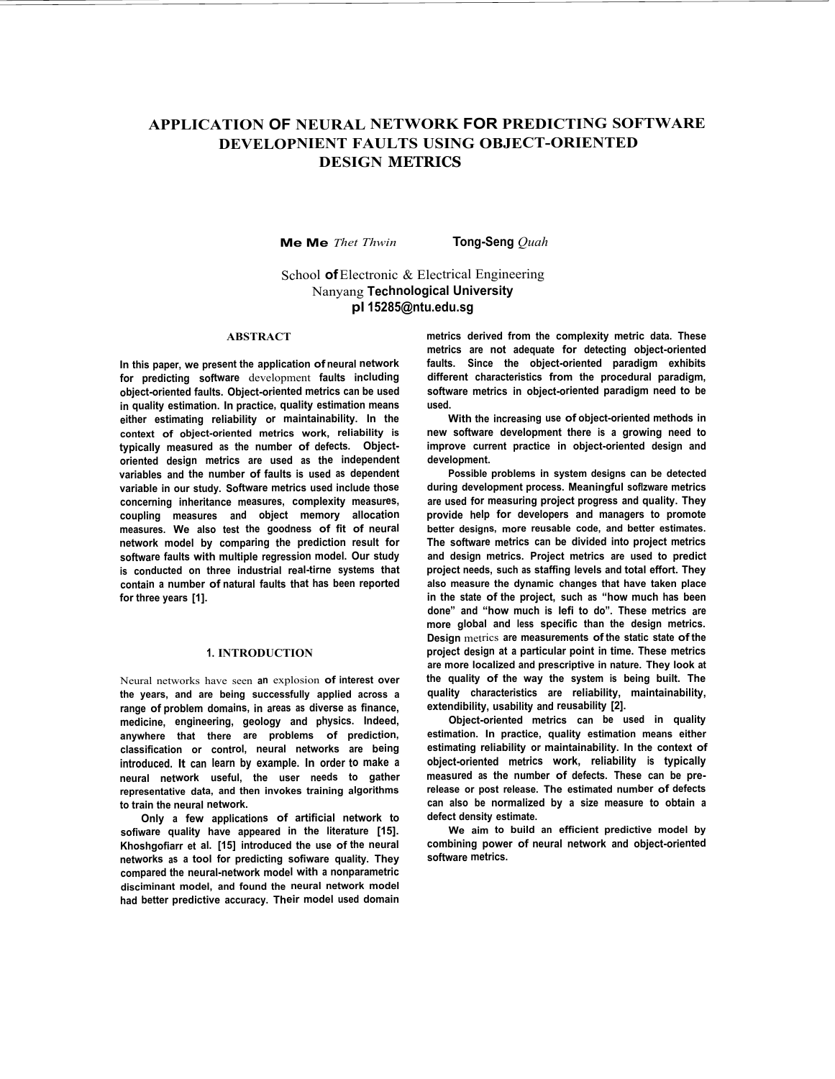# **APPLICATION OF NEURAL NETWORK FOR PREDICTING SOFTWARE APPLICATION OF NEURAL NETWORK FOR PREDICTING SOFTWARE DEVELOPNIENT FAULTS USING OBJECT-ORIENTED DEVELOPMENTFAULTS USING DESIGN METRICS DESIGN METRICS**

**Me Me** *Thet Thwin* **Tong-Seng** *Quah Mie Mie Thet Thwin Tong-Seng*Quah

School **of** Electronic & Electrical Engineering Nanyang **Technological University Nanyang** TechnologicalUniversity **pl 15285@ntu.edu.sg** p1**15285@ntu.edu.sg**

#### **ABSTRACT ABSTRACT**

**In this paper, we present the application of neural network** In this paper, we presen<sup>t</sup> the applicationof neural network **for predicting software** development **faults including** for predicting software development faults including **object-oriented faults. Object-oriented metrics can be used** object-orientedfaults. Object-orientedmetrics can be used **in quality estimation. In practice, quality estimation means** in quality estimation. In practice, quality estimationmeans **either estimating reliability or maintainability. In the** either estimating reliability or maintainability. In the **context of object-oriented metrics work, reliability is** context of object-oriented metrics work, reliability is **typically measured as the number of defects. Object-**typically measured as the number of defects. Object**oriented design metrics are used as the independent** oriented design metrics are used as the independent **variables and the number of faults is used as dependent** variables and the number of faults is used as dependent **variable in our study. Software metrics used include those** variable in our study. Softwaremetrics used include those **concerning inheritance measures, complexity measures,** conceming inheritance measures, complexity measures, **coupling measures and object memory allocation** coupling measures and object memory allocation **measures. We also test the goodness of fit of neural** measures. We also test the goodness of fit of neural **network model by comparing the prediction result for** network model by comparing the prediction result for **software faults with multiple regression model. Our study** software faults with multiple regression model. Our study **is conducted on three industrial real-tirne systems that** is conducted on three industrial real-time systems that **contain <sup>a</sup> number of natural faults that has been reported** contain <sup>a</sup> number of natural faults that has been reported **for three years [1].** for three years **[l].**

#### **1. INTRODUCTION 1. INTRODUCTION**

Neural networks have seen **an** explosion **of interest over** Neural networks have seen an explosion of interest over **the years, and are being successfully applied across <sup>a</sup>** the years, and are being successfully applied across <sup>a</sup> **range of problem domains, in areas as diverse as finance,** range of problem domains, in areas as diverse as finance, **medicine, engineering, geology and physics. Indeed,** medicine, engineering, geology and physics. Indeed, **anywhere that there are problems of prediction,** anywhere that there are problems of prediction, **classification or control, neural networks are being** classification or control, neural networks are being **introduced. It can learn by example. In order to make <sup>a</sup>** introduced. It can leam by example. In order to make <sup>a</sup> **neural network useful, the user needs to gather** neural network useful, the user needs to gather **representative data, and then invokes training algorithms** representative **data,** and then invokes training algorithms **to train the neural network.** to train the neural network.

**Only <sup>a</sup> few applications of artificial network to** Only <sup>a</sup> few applications of artificial network to **sofiware quality have appeared in the literature [15].** software quality have appeared in the literature **[15]. Khoshgofiarr et al. [15] introduced the use of the neural** Khoshgoftarr et al. **[15]** introduced the use of the neural **networks as <sup>a</sup> tool for predicting sofiware quality. They** networks as <sup>a</sup> tool for predicting software quality. They **compared the neural-network model with <sup>a</sup> nonparametric** compared the neural-network model with <sup>a</sup> nonparametric **disciminant model, and found the neural network model** disciminant model, and found the neural network model **had better predictive accuracy. Their model used domain** had better predictive accuracy. Their model used domain

**metrics derived from the complexity metric data. These** metrics derived fiom the complexity metric data. These **metrics are not adequate for detecting object-oriented** metrics are not adequate for detecting object-oriented **faults. Since the object-oriented paradigm exhibits** faults. Since the object-oriented paradigm exhibits **different characteristics from the procedural paradigm,** different characteristics from the procedural paradigm, **software metrics in object-oriented paradigm need to be** software metrics in object-oriented paradigm need to be **used.** used.

**With the increasing use of object-oriented methods in** With the increasing use of object-orientedmethods in **new software development there is <sup>a</sup> growing need to** new software development there is <sup>a</sup> growing need to **improve current practice in object-oriented design and** improve current practice in object-oriented design and **development.** development.

**Possible problems in system designs can be detected** Possible problems in system designs can be detected **during development process. Meaningful soflzware metrics** during development process. Meaningful software metrics **are used for measuring project progress and quality. They** are used for measuring project progress and quality. They **provide help for developers and managers to promote** provide help for developers and managers to promote **better designs, more reusable code, and better estimates.** better designs, more reusable code, and better estimates. **The software metrics can be divided into project metrics** The software metrics can be divided into project metrics **and design metrics. Project metrics are used to predict** and design metrics. Project metrics are used to predict **project needs, such as staffing levels and total effort. They** project needs, such as staffing levels and total effort. They **also measure the dynamic changes that have taken place** also measure the dynamic changes that have taken place **in the state of the project, such as "how much has been** in the state of the project, such as "how much has been **done" and "how much is lefi to do". These metrics are** done" and "how much is left to do". These metrics are **more global and less specific than the design metrics.** more global and less specific than the design metrics. **Design** metrics **are measurements of the static state of the** Design metrics are measurements of the static state of the **project design at <sup>a</sup> particular point in time. These metrics** project design at <sup>a</sup> particular point in time. These metrics **are more localized and prescriptive in nature. They look at** are more localized and prescriptive in nature. They look at **the quality of the way the system is being built. The** the quality of the way the system is being built. The **quality characteristics are reliability, maintainability,** quality characteristics are reliability, maintainability, **extendibility, usability and reusability [2].** extendibility,usability and reusability [2].

**Object-oriented metrics can be used in quality** Object-oriented metrics can be used in quality **estimation. In practice, quality estimation means either** estimation. In practice, quality estimation means either **estimating reliability or maintainability. In the context of** estimating reliability or maintainability. In the context of **object-oriented metrics work, reliability is typically** object-oriented metrics work, reliability is typically **measured as the number of defects. These can be pre-**measured as the number of defects. These can be pre**release or post release. The estimated number of defects** release **or** pos<sup>t</sup> release. The estimated number of defects **can also be normalized by <sup>a</sup> size measure to obtain <sup>a</sup>** can also be normalized by <sup>a</sup> size measure to obtain <sup>a</sup> **defect density estimate.** defect density estimate.

**We aim to build an efficient predictive model by** We aim to build an efficient predictive model by **combining power of neural network and object-oriented** combining power of neural network and object-oriented **software metrics.** software metrics.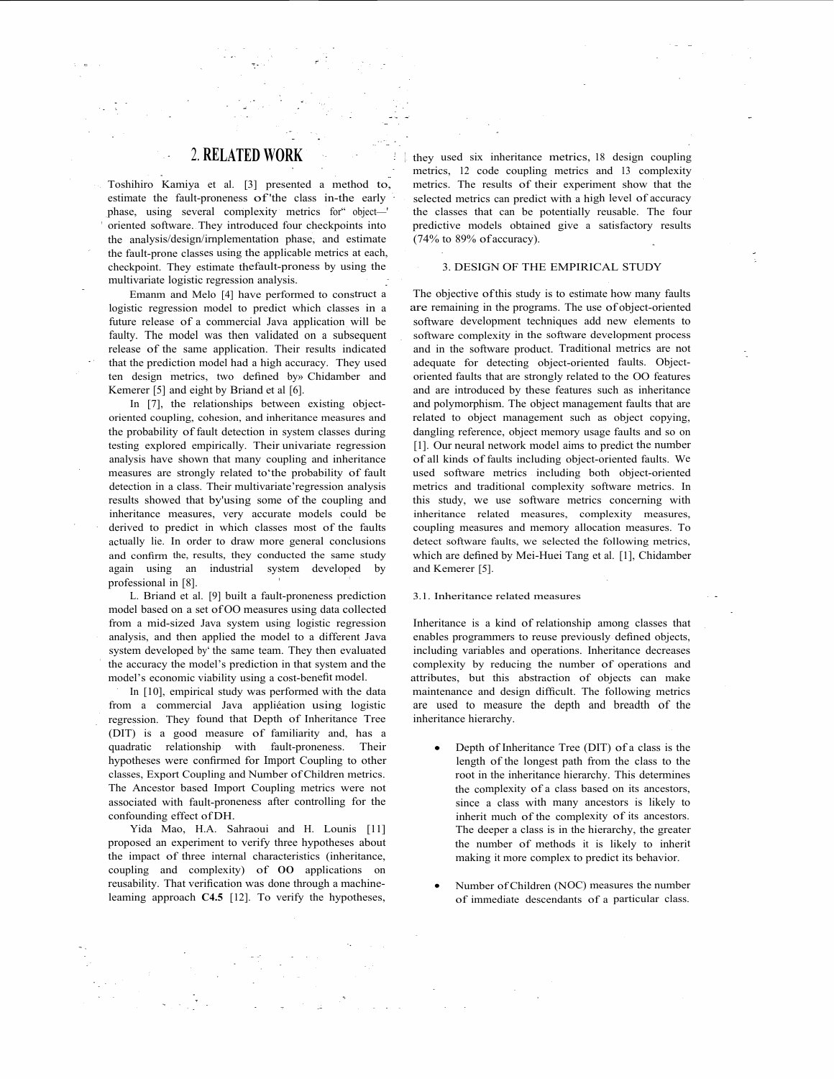# 2. **RELATED WORK** *2.* **RELATEDWORK**

- -

- -

Toshihiro Kamiya et al. [3] presented <sup>a</sup> method to, Toshihiro Kamiya et al. **[3]** presented a method to estimate the fault-proneness of the class in-the early selection phase, using several complexity metrics for objectoriented software. They introduced four checkpoints into the analysis/design/irnplementation phase, and estimate the **analysis/design/implementation** phase, and estimate the fault-prone classes using the applicable metrics at each, checkpoint. They estimate the fault-proness by using the multivariate logistic regression analysis.

Emanm and Melo [4] have performed to construct <sup>a</sup> Emanm and Melo [4] have performed to construct a logistic regression model to predict which classes in <sup>a</sup> logistic regression model to predict which classes in a future release of <sup>a</sup> commercial Java application will be future release of a commercial Java application will be faulty. The model was then validated on <sup>a</sup> subsequent faulty. The model was then validated on a subsequent release of the same application. Their results indicated that the prediction model had <sup>a</sup> high accuracy. They used that the prediction model had a **high** accuracy. They used ten design metrics, two defined by» Chidamber and ten design metrics, **two** defined by Chidamber and Kemerer [5] and eight by Briand et al [6]. Kemerer *[5]* and eight by Briand et a1*[6].*

In [7], the relationships between existing object-In [7], the relationships between existing objectoriented coupling, cohesion, and inheritance measures and the probability of fault detection in system classes during the probability of fault detection in system classes during testing explored empirically. Their univariate regression testing explored empirically. Their univariate regression analysis have shown that many coupling and inheritance measures are strongly related to the probability of fault detection in a class. Their multivariate' regression analysis results showed that by'using some of the coupling and inheritance measures, very accurate models could be inheritance measures, very accurate models could be derived to predict in which classes most of the faults derived to predict in which classes most of the faults actually lie. In order to draw more general conclusions actually lie. In order to draw more general conclusions and confirm the, results, they conducted the same study again using an industrial system developed by again using **an** industrial system developed by professional in [8]. *'* 〝 professional in**[SI.**

L. Briand et al. [9] built <sup>a</sup> fault-proneness prediction L. Briand et al. **[9]** built a fault-proneness prediction model based on <sup>a</sup> set of ОО measures using data collected model based on <sup>a</sup> set of 00measures using data collected from <sup>a</sup> mid-sized Java system using logistic regression from a mid-sized Java system using logistic regression analysis, and then applied the model to <sup>a</sup> different Java analysis, and then applied the model to a different Java system developed by' the same team. They then evaluated the accuracy the model's prediction in that system and the the accuracy the model's prediction in that system and the model's economic viability using <sup>a</sup> cost-benefit model. model's economicviability using a cost-benefitmodel.

In [10], empirical study was performed with the data In [lo], empirical study was performed with the **data** from <sup>a</sup> commercial Java appliéation using logistic from a commercial Java application using logistic regression. They found that Depth of Inheritance Tree regression. They found that Depth of Inheritance Tree (DIT) is a good measure of familiarity and, has a quadratic relationship with fault-proneness. Their quadratic relationship with fault-proneness. Their hypotheses were confirmed for Import Coupling to other classes, Export Coupling and Number ofChildren metrics. classes, Export Coupling and Number of Children metrics. The Ancestor based Import Coupling metrics were not The Ancestor based Import Coupling metrics were not associated with fault-proneness after controlling for the associated with fault-proneness after controlling for the confounding effect of DH. confounding effect of DIT.

Yida Mao, Н.А. Sahraoui and H. Lounis [11] Yida Mao, H.A. Sahraoui and H. Lounis **[ll]** proposed an experiment to verify three hypotheses about the impact of three internal characteristics (inheritance, the impact of three internal characteristics (inheritance, coupling and complexity) of 00 applications on coupling and complexity) of 00 applications *on* reusability. That verification was done through a machineleaming approach C4.5 [12]. To verify the hypotheses,

they used six inheritance metrics, 18 design coupling metrics, 12 code coupling metrics and 13 complexity metrics, 12 code coupling metrics and **13** complexity metrics. The results of their experiment show that the selected metrics can predict with <sup>a</sup> high level of accuracy selected metrics can predict with a **high** level of accuracy the classes that can be potentially reusable. The four predictive models obtained give <sup>a</sup> satisfactory results predictive models obtained give a satisfactory results (74% to 89% ofaccuracy). (74% to **89%**of accuracy).

## 3. DESIGN OF THE EMPIRICAL STUDY **3. DESIGN OF THE EMPIRICAL STUDY**

The objective of this study is to estimate how many faults are remaining in the programs. The use of object-oriented are remaining in the programs. The use of object-oriented software development techniques add new elements to software development techniques add new elements to software complexity in the software development process and in the software product. Traditional metrics are not and in the software product. Traditional metrics are not adequate for detecting object-oriented faults. Object-adequate for detecting object-oriented faults. Objectoriented faults that are strongly related to the ОО features oriented faults that are strongly related to the 00features and are introduced by these features such as inheritance and are introduced by these features such as inheritance and polymorphism. The object management faults that are related to object managemen<sup>t</sup> such as object copying, related to object management such as object copying, dangling reference, object memory usage faults and so on dangling reference, object memory usage faults and so on [1]. Our neural network model aims to predict the number **[l].** Our neuraI network model aimsto predict the number of all kinds of faults including object-oriented faults. We of all kinds of faults including object-oriented faults. We used software metrics including both object-oriented used software metrics including both object-oriented metrics and traditional complexity software metrics. In metrics and traditional complexity software metrics. In this study, we use software metrics concerning with this study, we use software metrics concerning with inheritance related measures, complexity measures, inheritance related measures, complexity measures, coupling measures and memory allocation measures. To coupling measures and memory allocation measures. To detect software faults, we selected the following metrics, detect software faults, we selected the following metrics, which are defined by Mei-Huei Tang et al. [1], Chidamber which aredefinedby Mei-HueiTang et al. **[I],** Chidamber and Kemerer [5]. and Kemerer *[5].*

# 3.1. Inheritance related measures **3.1. Inheritancerelated measures**

Inheritance is <sup>a</sup> kind of relationship among classes that Inheritance is a kind of relationship among classes that enables programmers to reuse previously defined objects, enables programmers to reuse previously defined objects, including variables and operations. Inheritance decreases including variables and operations. Inheritance decreases complexity by reducing the number of operations and complexity by reducing the number of operations and attributes, but this abstraction of objects can make attributes, but this abstraction of objects can make maintenance and design difficult. The following metrics are used to measure the depth and breadth of the inheritance hierarchy.

- Depth of Inheritance Tree (DIT) of a class is the length of the longest path from the class to the length of the longest path from the class to the root in the inheritance hierarchy. This determines the complexity of <sup>a</sup> class based on its ancestors, the complexity of a class based on its ancestors, since <sup>a</sup> class with many ancestors is likely to since a class with many ancestors is likely to inherit much of the complexity of its ancestors. inherit much of the complexity of its ancestors. The deeper <sup>a</sup> class is in the hierarchy, the greater The deeper a class is in the hierarchy, the greater the number of methods it is likely to inherit making it more complex to predict its behavior. making it more complexto predict its behavior.
- Number of Children (NOC) measures the number of immediate descendants of <sup>a</sup> particular class. of immediate descendants of a particular class.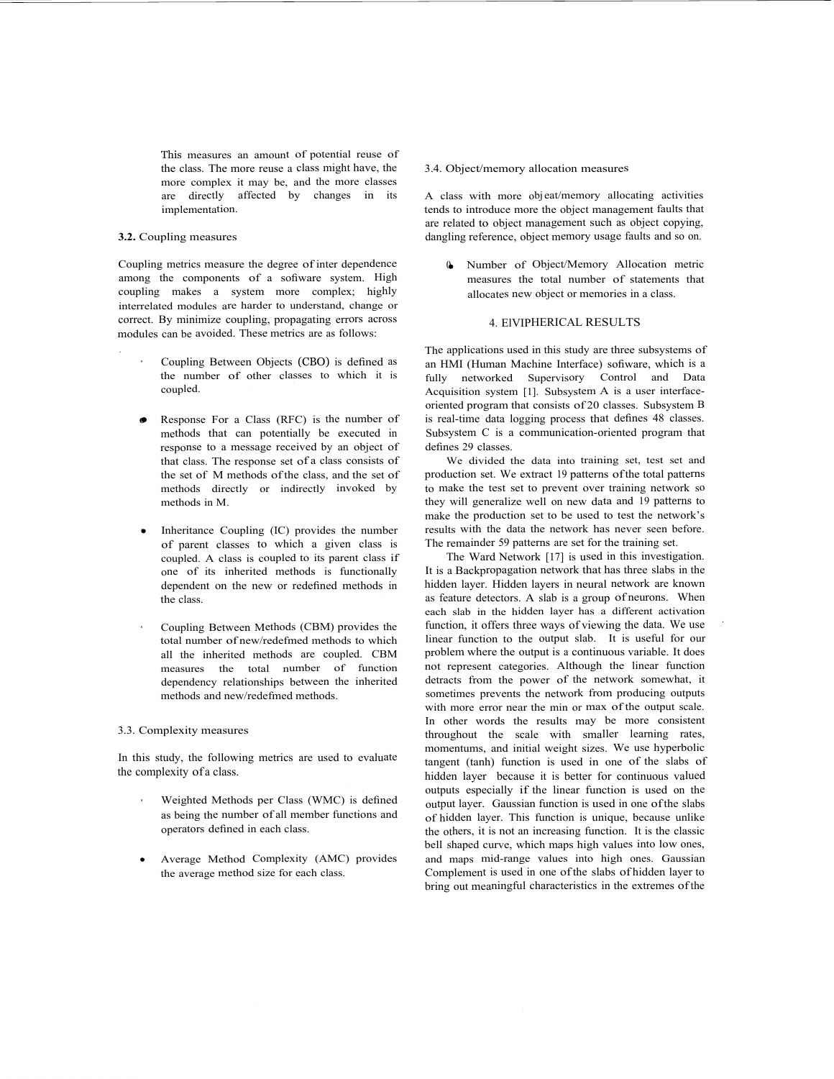This measures an amount of potential reuse of This measures an amount of potential reuse of the class. The more reuse a class might have, the more complex it may be, and the more classes more complex it may be, and the more classes are directly affected by changes in its are directly affected by changes in its implementation. implementation.

## **3.2.** Coupling measures **3.2. Coupling measures**

Coupling metrics measure the degree of inter dependence Coupling metrics measure the degree of inter dependence among the components of <sup>a</sup> sofiware system. High among the components of a software system. High coupling makes <sup>a</sup> system more complex; highly coupling makes a system more complex; highly interrelated modules are harder to understand, change or interrelated modules are harder to understand, change or correct. By minimize coupling, propagating errors across modules can be avoided. These metrics are as follows:

- Coupling Between Objects (CBO) is defined as *0* Coupling Between Objects (CBO) is defined as the number of other classes to which it is the number of other classes to which it is coupled. coupled.
- **<sup>о</sup>** Response For <sup>a</sup> Class (RFC) is the number of Response For a Class (RFC) is the number of methods that can potentially be executed in methods that can potentially be executed in response to <sup>a</sup> message received by an object of response to a message received by an object of that class. The response set of <sup>a</sup> class consists of that class. The response set of a class consists of the set of M methods ofthe class, and the set of the set of M methods of the class, and the set of methods directly or indirectly invoked by methods directly or indirectly invoked by methods in M. methodsin M.
- Inheritance Coupling (IC) provides the number Inheritance Coupling (IC) provides the number of paren<sup>t</sup> classes to which <sup>a</sup> given class is of parent classes to which a given class is coupled. A class is coupled to its parent class if one of its inherited methods is functionally one of its inherited methods is functionally dependent on the new or redefined methods in dependent on the new or redefined methods in the class.
- Coupling Between Methods (CBM) provides the *0* Coupling Between Methods (CBM) provides the total number of new/redefmed methods to which all the inherited methods are coupled. CBM all the inherited methods are coupled. CBM measures the total number of function measures the total number of function dependency relationships between the inherited dependency relationships between the inherited methods and new/redefmed methods.

#### 3.3. Complexity measures **3.3. Complexity measures**

In this study, the following metrics are used to evaluate In this study, the following metrics are used to evaluate the complexity of a class.

- Weighted Methods per Class (WMC) is defined as being the number of all member functions and as being the number of all member functions and operators defined in each class. operatorsdefined in each class.
- Average Method Complexity (AMC) provides Average Method Complexity (AMC) provides the average method size for each class. the average method size for each class.

## 3.4. Object/memory allocation measures **3.4. Objectlmemoryallocation measures**

A class with more obj eat/memory allocating activities A class with more objectlmemory allocating activities tends to introduce more the object management faults that are related to object managemen<sup>t</sup> such as object copying, are related to object management such as object copying, dangling reference, object memory usage faults and so on.

0 Number of Object/Memory Allocation metric Number of Objecthlemory Allocation metric measures the total number of statements that measures the total number of statements that allocates new object or memories in a class.

# 4. ElVIPHERICAL RESULTS **4. EMPHERICAL RESULTS**

The applications used in this study are three subsystems of an HMI (Human Machine Interface) sofiware, which is <sup>a</sup> an HMI (Human Machine Interface) software, which is a fully networked Supervisory Control and Data fully networked Supervisory Control and Data Acquisition system [1]. Subsystem A is <sup>a</sup> user interface-Acquisition system **[l].** Subsystem A is a user interfaceoriented program that consists of 20 classes. Subsystem B is real-time data logging process that defines 48 classes. is real-time data logging process that defines **48** classes. Subsystem C is <sup>a</sup> communication-oriented program that Subsystem C is a communication-orientedprogram that defines 29 classes. defines 29 classes.

We divided the data into training set, test set and We divided the data into training set, test set and production set. We extract 19 patterns of the total patterns to make the test set to preven<sup>t</sup> over training network so to make the test set to prevent over training network so they will generalize well on new data and 19 patterns to they will generalize well on new data and 19 pattems to make the production set to be used to test the network's make the production set to be used to test the network's results with the data the network has never seen before. results with the data the network has never seen before. The remainder 59 patterns are set for the training set. The remainder 59 patterns are set for the training set.

The Ward Network [17] is used in this investigation. The Ward Network **[17]** is used in this investigation. It is a Backpropagation network that has three slabs in the hidden layer. Hidden layers in neural network are known hidden layer. Hidden layers in neural network are known as feature detectors. A slab is <sup>a</sup> group of neurons. When as feature detectors. A slab is a group of neurons. When each slab in the hidden layer has <sup>a</sup> different activation each slab in the **hidden** layer has a different activation function, it offers three ways of viewing the data. We use function, it offers three ways of viewing the **data.**We use linear function to the output slab. It is useful for our linear function to the output slab. It is useful for **our** problem where the output is <sup>a</sup> continuous variable. It does problemwhere the output is a continuous variable.It does not represen<sup>t</sup> categories. Although the linear function not represent categories. Although the linear function detracts from the power of the network somewhat, it detracts from the power of the network somewhat, it sometimes prevents the network from producing outputs sometimes prevents the network from producing outputs with more error near the min or max of the output scale. with more error near the **min** or max of the output scale. In other words the results may be more consistent In other words the results may be more consistent throughout the scale with smaller learning rates, throughout the scale with smaller learning rates, momentums, and initial weight sizes. We use hyperbolic momentums, and initial weight sizes. We use hyperbolic tangent (tanh) function is used in one of the slabs of tangent (tanh) function is used **in** one of the slabs of hidden layer because it is better for continuous valued hidden layer because it is better for continuous valued outputs especially if the linear function is used on the outputs especially if the linear function is used on the output layer. Gaussian function is used in one of the slabs of hidden layer. This function is unique, because unlike of hidden layer. This function is unique, because unlike the others, it is not an increasing function. It is the classic bell shaped curve, which maps high values into low ones, bell shaped curve, which maps high values into low ones, and maps mid-range values into high ones. Gaussian and maps mid-range values into high ones. Gaussian Complement is used in one ofthe slabs of hidden layer to Complementis used in one of the slabs of hidden layer to bring out meaningful characteristics in the extremes ofthe bring out meaningful characteristicsin the extremesof the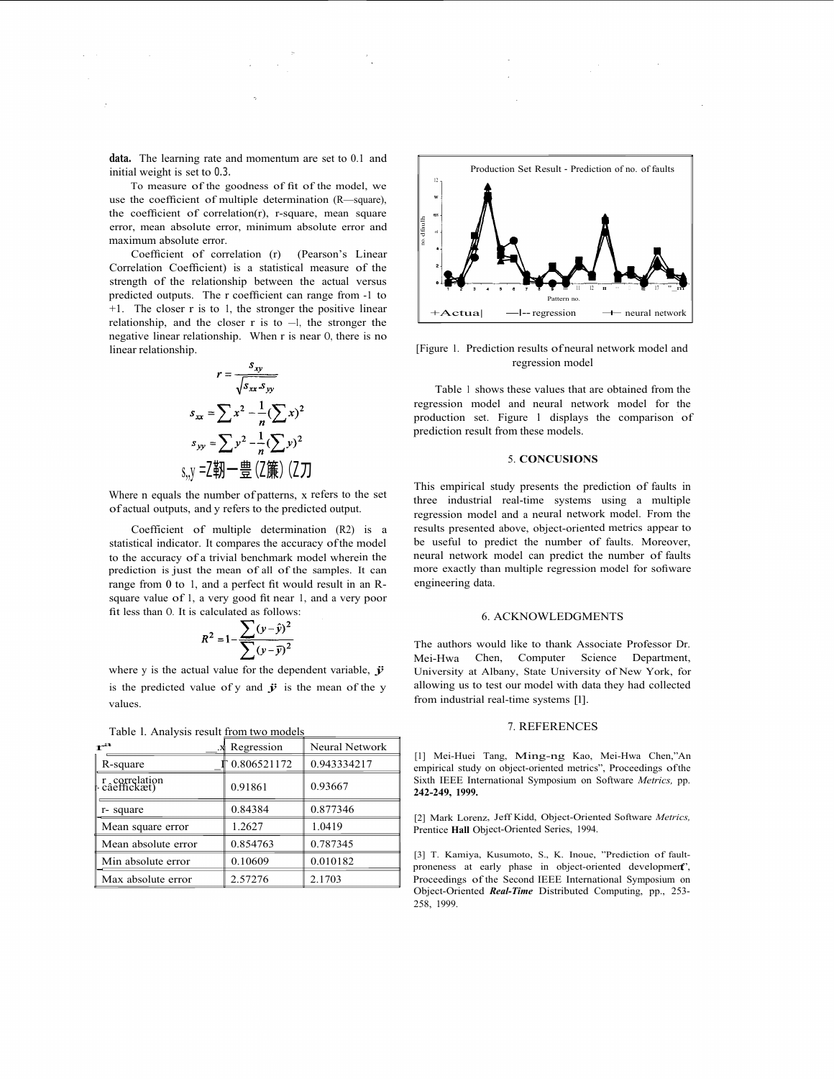**data.** The learning rate and momentum are set to 0.1 and **data.** The learning rate and momentum are set to**0.1**and initial weight is set to 0.3. initial weight is set to**0.3.**

To measure of the goodness of fit of the model, we To measure **of** the goodness of fit of the model, we use the coefficient of multiple determination (R—square), use the coefficient of multiple determination (R-square), the coefficient of correlation(r), r-square, mean square the coefficient of correlation(r), r-square, mean square error, mean absolute error, minimum absolute error and error, mean absolute error, minimum absolute error and maximum absolute error.

Coefficient of correlation (r) (Pearson's Linear Coefficient of correlation (r) (Pearson's Linear Correlation Coefficient) is <sup>a</sup> statistical measure of the Correlation Coefficient) is a statistical measure of the strength of the relationship between the actual versus predicted outputs. The <sup>r</sup> coefficient can range from -1 to predicted outputs. The r coefficient can range from **-1** to +1. The closer <sup>r</sup> is to 1, the stronger the positive linear **+l.** The closer r is to **1,** the stronger the positive linear relationship, and the closer <sup>r</sup> is to —1, the stronger the relationship, and the closer r is to**-1,** the stronger the negative linear relationship. When r is near 0, there is no linear relationship.

$$
r = \frac{s_{xy}}{\sqrt{s_{xx} s_{yy}}}
$$
  
\n
$$
s_{xx} = \sum x^2 - \frac{1}{n} (\sum x)^2
$$
  
\n
$$
s_{yy} = \sum y^2 - \frac{1}{n} (\sum y)^2
$$
  
\n
$$
s_{yy} = Z \overline{y} + \frac{1}{\overline{z}} (Z \overline{y}) (\overline{Z} \overline{y})
$$

Where n equals the number of patterns, x refers to the set of actual outputs, and y refers to the predicted output. of actual outputs, and y refersto thepredicted output.

Coefficient of multiple determination (R2) is a statistical indicator. It compares the accuracy of the model to the accuracy of a trivial benchmark model wherein the prediction is just the mean of all of the samples. It can range from 0 to 1, and a perfect fit would result in an Rsquare value of 1, <sup>a</sup> very good fit near 1, and <sup>a</sup> very poor square value of**1,** a very good fit near **1,** and a very poor fit less than 0. It is calculated as follows:

$$
R^{2} = 1 - \frac{\sum (y - \hat{y})^{2}}{\sum (y - \bar{y})^{2}}
$$

where y is the actual value for the dependent variable,  $\mathbf{\dot{y}}$ is the predicted value of y and *j* is the mean of the y values. values.

| $r^{\bf a}$                    | Regression  | Neural Network |
|--------------------------------|-------------|----------------|
| R-square                       | 0.806521172 | 0.943334217    |
| r correlation<br>r câeffickæt) | 0.91861     | 0.93667        |
| r-square                       | 0.84384     | 0.877346       |
| Mean square error              | 1.2627      | 1.0419         |
| Mean absolute error            | 0.854763    | 0.787345       |
| Min absolute error             | 0.10609     | 0.010182       |
| Max absolute error             | 2.57276     | 2.1703         |

Table 1. Analysis result from two models



[Figure 1. Prediction results ofneural network model and Figure **1.** Prediction results **of** neural network model and regression model

Table 1 shows these values that are obtained from the Table **1** showsthese values that are obtained from the regression model and neural network model for the regression model and neural network model for the production set. Figure l displays the comparison of production set. Figure 1 displays the comparison of prediction result from these models. prediction result fromthese models.

## 5. **CONCUSIONS** *5.* **CONCUSIONS**

This empirical study presents the prediction of faults in This empirical study presents the prediction of faults in three industrial real-time systems using <sup>a</sup> multiple three industrial real-time systems using a multiple regression model and <sup>a</sup> neural network model. From the regression model and a neural network model. From the results presented above, object-oriented metrics appear to results presented above, object-oriented metrics appear to be useful to predict the number of faults. Moreover, be useful to predict the number of faults. Moreover, neural network model can predict the number of faults more exactly than multiple regression model for sofiware more exactly **than** multiple regression model for sohare engineering data. engineering data.

### 6. ACKNOWLEDGMENTS *6.* **ACKNOWLEDGMENTS**

The authors would like to thank Associate Professor Dr. The authors would like to thank Associate Professor **Dr.** Mei-Hwa Chen, Computer Science Department, Mei-Hwa Chen, Computer Science Department, University at Albany, State University of New York, for allowing us to test our model with data they had collected allowing us to test our model with data they had collected from industrial real-time systems [1].

## 7. REFERENCES **7. REFERENCES**

[1] Mei-Huei Tang, Ming-ng Kao, Mei-Hwa Chen,"An **[l]** Mei-Huei Tang, Ming-Hung Kao, Mei-Hwa Chen."An empirical study on object-oriented metrics", Proceedings ofthe empirical study on object-orientedmetrics", *Proceedings ofthe* Sixth IEEE International Symposium on Software *Metrics,* pp. *Sixth IEEE International Symposium on Sofhyare Metrics,* **pp. 242-249, 1999. 242-249. 1999.**

[2] Mark Lorenz, Jeff Kidd, Object-Oriented Software *Metrics,* **[2]** Mark **Lorenz, Jeff Kidd,***Object-Oriented Sojhvare Metrics,* Prentice Hall Object-Oriented Series, 1994.

[3] T. Kamiya, Kusumoto, S., K. Inoue, "Prediction of faultproneness at early phase in object-oriented development", Proceedings of the Second IEEE International Symposium on *Proceedings of the Second IEEE International Svmposium on* Object-Oriented *Real-Time* Distributed Computing, pp., 253- *Object-Oriented Real-Time Distributed Computing,* pp., **253-** 258, 1999. **258,1999.**